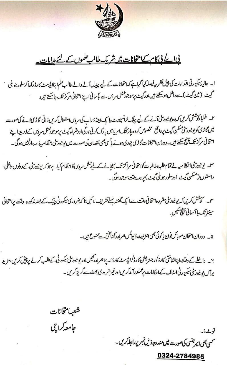

# <u>پی اے کی کام کے امتحانات میں شریک طالب علموں کے لئے ہدایات۔</u>

ا۔ حالیۂ کیورٹی اقدامات کی پیش نظر میے فیصلہ کیا گیاہے کہ امتحانات کے لیے پیدل آنے والے طالب علم اپناایڈ مٹ کارڈ دکھا کر سلور جو بلی<br>حمیث (مین گیٹ) سے داخل ہوسکتے ہیں اور گیٹ پرموجوڈ شل سردس سے باسانی اپنے امتحانی مرکز ت

۲۔ طلباءکوشش کریں کہ وہ یونیورسٹی آنے کے لیے پبک ٹرانسپورٹ یا پک اینڈ ڈراپ کی سروس استعال کریں ذاتی گاڑی لانے کی صورت میں گاڑی کویونیورٹی سکن گیٹ پرواقع مخصوص کردہ پارکنگ اپریا میں پارک کرنی ہوگی اورطلباء کیٹ پرموجود شل سروں کے ذریعہاپنے امتحانی مرکز تک پینچ سکتے ہیں۔دوران امتحانات گاڑی چوری ہونے یا کسی بھی نقصان کی صورت میں یونیورسٹی انظامیہ ذمہ دارنہیں ہوگی۔

٣۔ یونیورٹی انتظامیہ نے تمام طلبہ وطالبات کوامتحانی مراکزتک پہنچانے کے لیے شل مردس کاانتظام کیاہے جوکہ یونیورٹنی کے دونوں داخلی م راستوں (مسکن گیٹ اورسلورجویلی گیٹ) پر ہمہ وقت موجودہوگ۔

س۔ کوشش کریں کہ یونیور ٹی مقررہ امتحانی وقت سے ایک گھنٹہ پہلے تشریف لا کیں تا کہ ضروری سکورٹی چیک کے بعد *مذک*ورہ وقت پرامتحانی سینٹر تک با آسانی پچ سکیں۔

۵۔ دوران امتحان موبائل فون پاکوئی بھی انٹرنیٹ ڈیوائس ہمراہ رکھناتختی ہے منوع ہیں۔

۲۔ دافلے کے دقت اپناشناختی کارڈ */ دجٹریشن کارڈ/*ایڈمٹ کارڈاپنے ہمراہ رکھیں اور یونیورسٹی کیکورٹی کے طلب کرنے پر پیش کریں، مزید برآں یو نیورٹی سکیورٹی اسٹاف کے احکامات پر عملدرآ مدکریں اورغیر ضروری بحث سے گریز کریں۔

شعبه امتحانات جامعه كراچي نوٹ:۔ سمی بھی ایمر جنسی کی صورت میں مندرجہ ذیل نمبر پر رابط کریں۔

0324-2784985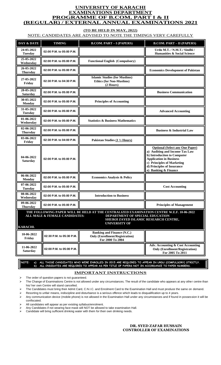## **UNIVERSITY OF KARACHI EXAMINATIONS DEPARTMENT PROGRAMME OF B.COM. PART I & II (REGULAR) / EXTERNAL ANNUAL EXAMINATIONS 2021**

# **(TO BE HELD IN MAY, 2022)**

# NOTE: CANDIDATES ARE ADVISED TO NOTE THE TIMINGS VERY CAREFULLY

| DAY & DATE                    | <b>TIMING</b>                 | <b>B.COM. PART - I (PAPERS)</b>                                                                                                                                                              | <b>B.COM. PART - II (PAPERS)</b>                                                                                                                                                                                              |  |
|-------------------------------|-------------------------------|----------------------------------------------------------------------------------------------------------------------------------------------------------------------------------------------|-------------------------------------------------------------------------------------------------------------------------------------------------------------------------------------------------------------------------------|--|
| 24-05-2022<br><b>Tuesday</b>  | 02:00 P.M. to 05:00 P.M.      |                                                                                                                                                                                              | Urdu M.T. / N.M.T./ Sindhi /<br><b>Humanities &amp; Social Science</b>                                                                                                                                                        |  |
| 25-05-2022<br>Wednesday       | 02:00 P.M. to 05:00 P.M.      | <b>Functional English (Compulsory)</b>                                                                                                                                                       |                                                                                                                                                                                                                               |  |
| 26-05-2022<br><b>Thursday</b> | 02:00 P.M. to 05:00 P.M.      |                                                                                                                                                                                              | <b>Economics Development of Pakistan</b>                                                                                                                                                                                      |  |
| 27-05-2022<br>Friday          | 02:30 P.M. to 04:30 P.M.      | <b>Islamic Studies (for Muslims)</b><br><b>Ethics (for Non-Muslims)</b><br>(2 Hours)                                                                                                         |                                                                                                                                                                                                                               |  |
| 28-05-2022<br><b>Saturday</b> | 02:00 P.M. to 05:00 P.M.      |                                                                                                                                                                                              | <b>Business Communication</b>                                                                                                                                                                                                 |  |
| 30-05-2022<br>Monday          | 02:00 P.M. to 05:00 P.M.      | <b>Principles of Accounting</b>                                                                                                                                                              |                                                                                                                                                                                                                               |  |
| 31-05-2022<br><b>Tuesday</b>  | 02:00 P.M. to 05:00 P.M.      |                                                                                                                                                                                              | <b>Advanced Accounting</b>                                                                                                                                                                                                    |  |
| 01-06-2022<br>Wednesday       | 02:00 P.M. to 05:00 P.M.      | <b>Statistics &amp; Business Mathematics</b>                                                                                                                                                 |                                                                                                                                                                                                                               |  |
| 02-06-2022<br><b>Thursday</b> | 02:00 P.M. to 05:00 P.M.      |                                                                                                                                                                                              | <b>Business &amp; Industrial Law</b>                                                                                                                                                                                          |  |
| 03-06-2022<br>Friday          | 02:30 P.M. to 04:00 P.M.      | Pakistan Studies $(1\frac{1}{2}$ Hours)                                                                                                                                                      |                                                                                                                                                                                                                               |  |
| 04-06-2022<br><b>Saturday</b> | 02:00 P.M. to 05:00 P.M.      |                                                                                                                                                                                              | <b>Optional (Select any One Paper)</b><br>a) Auditing and Income Tax Law<br>b) Introduction to Computer<br><b>Application in Business</b><br>c) Principles of Marketing<br>d) Principles of Insurance<br>e) Banking & Finance |  |
| 06-06-2022<br>Monday          | 02:00 P.M. to 05:00 P.M.      | <b>Economics Analysis &amp; Policy</b>                                                                                                                                                       |                                                                                                                                                                                                                               |  |
| 07-06-2022<br><b>Tuesday</b>  | 02:00 P.M. to 05:00 P.M.      |                                                                                                                                                                                              | <b>Cost Accounting</b>                                                                                                                                                                                                        |  |
| 08-06-2022<br>Wednesday       | 02:00 P.M. to 05:00 P.M.      | <b>Introduction to Business</b>                                                                                                                                                              |                                                                                                                                                                                                                               |  |
| 09-06-2022<br><b>Thursday</b> | 02:00 P.M. to 05:00 P.M.      |                                                                                                                                                                                              | <b>Principles of Management</b>                                                                                                                                                                                               |  |
| <b>KARACHI.</b>               | ALL MALE & FEMALE CANDIDATES: | THE FOLLOWING PAPER WILL BE HELD AT THE CENTRALIZED EXAMINATION CENTRE W.E.F. 10-06-2022<br>DEPARTMENT OF SPECIAL EDUCATION<br>SHEIKH ZAYED ISLAMIC RESEARCH CENTRE,<br><b>UNIVERSITY OF</b> |                                                                                                                                                                                                                               |  |
| 10-06-2022<br>Friday          | 02:30 P.M. to 05:30 P.M.      | <b>Banking and Finance (N.C.)</b><br><b>Only (Enrollment/Registration)</b><br>For 2000 To 2004                                                                                               |                                                                                                                                                                                                                               |  |
| 11-06-2022<br><b>Saturday</b> | 02:00 P.M. to 05:00 P.M.      |                                                                                                                                                                                              | Adv. Accounting & Cost Accounting<br><b>Only (Enrollment/Registration)</b><br>For 2005 To 2011                                                                                                                                |  |

**NOTE: a) ALL THOSE CANDIDATES WHO WERE ENROLLED IN 2015 ARE REQUIRED TO APPEAR IN URDU (COMPULSORY) STRICTLY. b) ALL CNDIDATES ARE REQUIRED TO APPEAR AS PER TITLE OF PAPERS NOT IN ACCORDANCE TO PAPER NUMBERS.**

#### **IMPORTANT INSTRUCTIONS**

 $\triangleright$  The order of question papers is not guaranteed.

➢ The Change of Examinations Centre is not allowed under any circumstances. The result of the candidate who appears at any other centre than his/ her own Centre will stand cancelled.

➢ The Candidates must bring their Admit Card, C.N.I.C. and Enrolment Card to the Examination Hall and must produce the same on demand.

➢ Resorting to unfair means, indiscipline and disturbance is a serious offence which leads to disqualification up to 4 years.

➢ Any communication device (mobile phone) is not allowed in the Examination Hall under any circumstances and if found in possession it will be confiscated.

➢ All candidates will appear as per existing syllabus/enrolment.

 $\triangleright$  Any Candidates if not wearing face mask will NOT be allowed to take examination Hall.

➢ Candidate will bring sufficient drinking water with them for their own drinking needs.

#### **DR. SYED ZAFAR HUSSAIN CONTROLLER OF EXAMINATIONS**